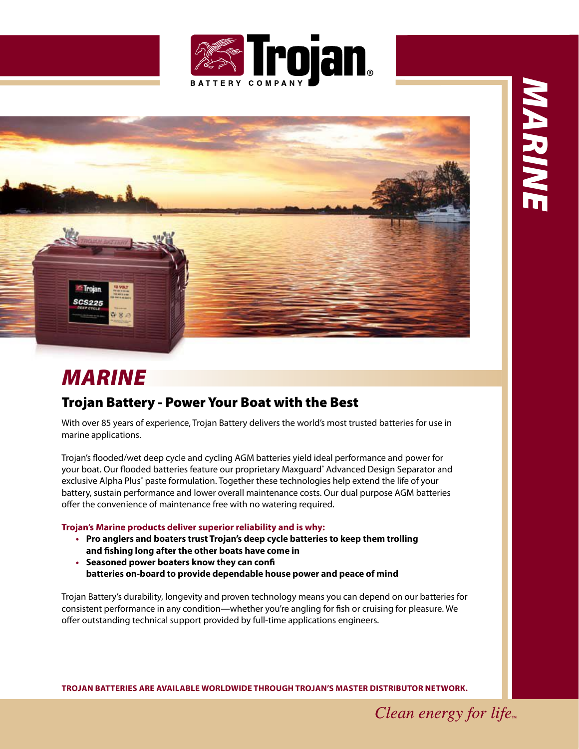



## **MARINE**

## Trojan Battery - Power Your Boat with the Best

With over 85 years of experience, Trojan Battery delivers the world's most trusted batteries for use in marine applications.

Trojan's flooded/wet deep cycle and cycling AGM batteries yield ideal performance and power for your boat. Our flooded batteries feature our proprietary Maxguard° Advanced Design Separator and exclusive Alpha Plus<sup>®</sup> paste formulation. Together these technologies help extend the life of your battery, sustain performance and lower overall maintenance costs. Our dual purpose AGM batteries offer the convenience of maintenance free with no watering required.

**Trojan's Marine products deliver superior reliability and is why:**

- **• Pro anglers and boaters trust Trojan's deep cycle batteries to keep them trolling and fshing long aater the other boats have come in**
- **• Seasoned power boaters know they can conf batteries on-board to provide dependable house power and peace oa mind**

Trojan Battery's durability, longevity and proven technology means you can depend on our batteries for consistent performance in any condition—whether you're angling for fish or cruising for pleasure. We offer outstanding technical support provided by full-time applications engineers.

**Trojan baTTerieS are available worldwide Through Trojan'S MaSTer diSTribuTor neTwork.**